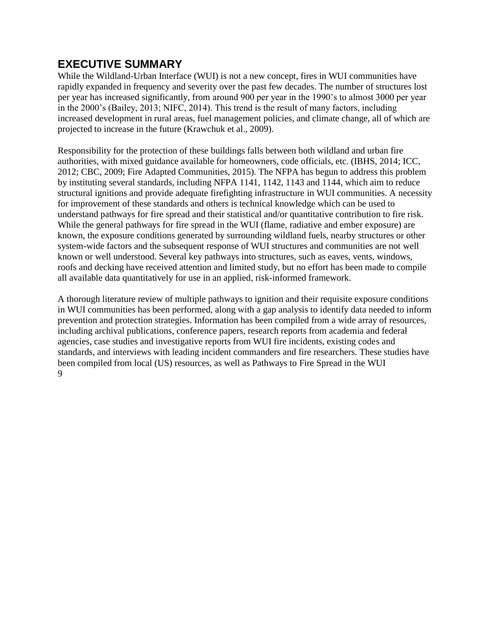## **EXECUTIVE SUMMARY**

While the Wildland-Urban Interface (WUI) is not a new concept, fires in WUI communities have rapidly expanded in frequency and severity over the past few decades. The number of structures lost per year has increased significantly, from around 900 per year in the 1990's to almost 3000 per year in the 2000's (Bailey, 2013; NIFC, 2014). This trend is the result of many factors, including increased development in rural areas, fuel management policies, and climate change, all of which are projected to increase in the future (Krawchuk et al., 2009).

Responsibility for the protection of these buildings falls between both wildland and urban fire authorities, with mixed guidance available for homeowners, code officials, etc. (IBHS, 2014; ICC, 2012; CBC, 2009; Fire Adapted Communities, 2015). The NFPA has begun to address this problem by instituting several standards, including NFPA 1141, 1142, 1143 and 1144, which aim to reduce structural ignitions and provide adequate firefighting infrastructure in WUI communities. A necessity for improvement of these standards and others is technical knowledge which can be used to understand pathways for fire spread and their statistical and/or quantitative contribution to fire risk. While the general pathways for fire spread in the WUI (flame, radiative and ember exposure) are known, the exposure conditions generated by surrounding wildland fuels, nearby structures or other system-wide factors and the subsequent response of WUI structures and communities are not well known or well understood. Several key pathways into structures, such as eaves, vents, windows, roofs and decking have received attention and limited study, but no effort has been made to compile all available data quantitatively for use in an applied, risk-informed framework.

A thorough literature review of multiple pathways to ignition and their requisite exposure conditions in WUI communities has been performed, along with a gap analysis to identify data needed to inform prevention and protection strategies. Information has been compiled from a wide array of resources, including archival publications, conference papers, research reports from academia and federal agencies, case studies and investigative reports from WUI fire incidents, existing codes and standards, and interviews with leading incident commanders and fire researchers. These studies have been compiled from local (US) resources, as well as Pathways to Fire Spread in the WUI 9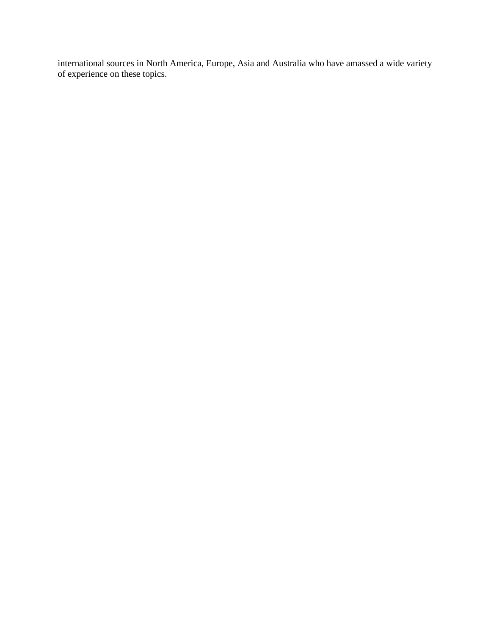international sources in North America, Europe, Asia and Australia who have amassed a wide variety of experience on these topics.